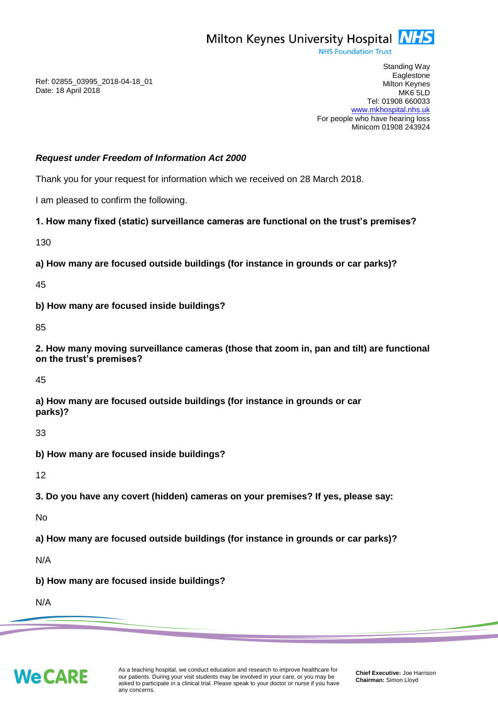

**NHS Foundation Trust** 

Ref: 02855\_03995\_2018-04-18\_01 Date: 18 April 2018

Standing Way **Eaglestone** Milton Keynes MK6 5LD Tel: 01908 660033 [www.mkhospital.nhs.uk](http://www.mkhospital.nhs.uk/) For people who have hearing loss Minicom 01908 243924

#### *Request under Freedom of Information Act 2000*

Thank you for your request for information which we received on 28 March 2018.

I am pleased to confirm the following.

#### **1. How many fixed (static) surveillance cameras are functional on the trust's premises?**

130

**a) How many are focused outside buildings (for instance in grounds or car parks)?**

45

**b) How many are focused inside buildings?**

85

**2. How many moving surveillance cameras (those that zoom in, pan and tilt) are functional on the trust's premises?**

45

**a) How many are focused outside buildings (for instance in grounds or car parks)?** 

33

**b) How many are focused inside buildings?** 

12

**3. Do you have any covert (hidden) cameras on your premises? If yes, please say:**

No

**a) How many are focused outside buildings (for instance in grounds or car parks)?**

N/A

**b) How many are focused inside buildings?**

N/A

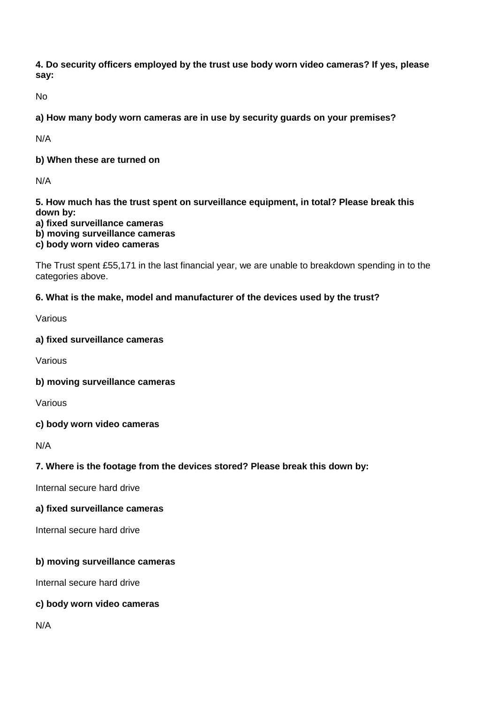**4. Do security officers employed by the trust use body worn video cameras? If yes, please say:** 

No

**a) How many body worn cameras are in use by security guards on your premises?**

N/A

**b) When these are turned on**

N/A

**5. How much has the trust spent on surveillance equipment, in total? Please break this down by:** 

**a) fixed surveillance cameras b) moving surveillance cameras**

**c) body worn video cameras**

The Trust spent £55,171 in the last financial year, we are unable to breakdown spending in to the categories above.

# **6. What is the make, model and manufacturer of the devices used by the trust?**

Various

# **a) fixed surveillance cameras**

Various

# **b) moving surveillance cameras**

Various

# **c) body worn video cameras**

N/A

# **7. Where is the footage from the devices stored? Please break this down by:**

Internal secure hard drive

# **a) fixed surveillance cameras**

Internal secure hard drive

# **b) moving surveillance cameras**

Internal secure hard drive

# **c) body worn video cameras**

N/A